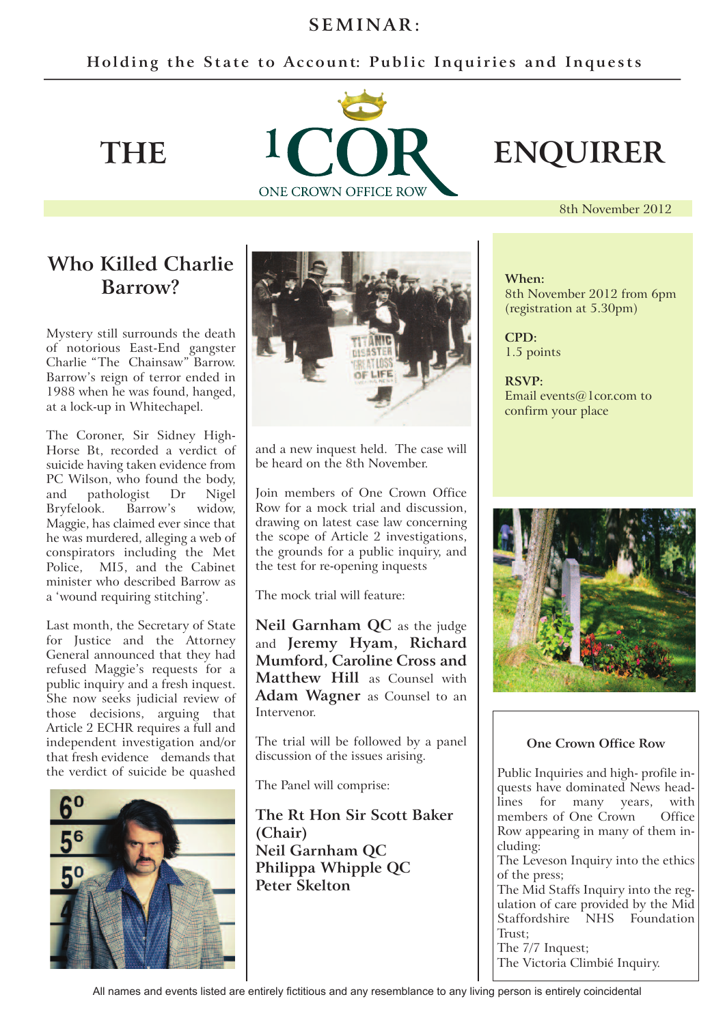# $SEMINAR:$

## Holding the State to Account: Public Inquiries and Inquests



8th November 2012

# **Who Killed Charlie Barrow?**

Mystery still surrounds the death of notorious East-End gangster Charlie "The Chainsaw" Barrow. Barrow's reign of terror ended in 1988 when he was found, hanged, at a lock-up in Whitechapel.

The Coroner, Sir Sidney High-Horse Bt, recorded a verdict of suicide having taken evidence from PC Wilson, who found the body, and pathologist Dr Nigel Bryfelook. Barrow's widow, Maggie, has claimed ever since that he was murdered, alleging a web of conspirators including the Met Police, MI5, and the Cabinet minister who described Barrow as a 'wound requiring stitching'.

Last month, the Secretary of State for Justice and the Attorney General announced that they had refused Maggie's requests for a public inquiry and a fresh inquest. She now seeks judicial review of those decisions, arguing that Article 2 ECHR requires a full and independent investigation and/or that fresh evidence demands that the verdict of suicide be quashed





and a new inquest held. The case will be heard on the 8th November.

Join members of One Crown Office Row for a mock trial and discussion, drawing on latest case law concerning the scope of Article 2 investigations, the grounds for a public inquiry, and the test for re-opening inquests

The mock trial will feature:

**Neil Garnham QC** as the judge and **Jeremy Hyam, Richard Mumford, Caroline Cross and Matthew Hill** as Counsel with **Adam Wagner** as Counsel to an Intervenor.

The trial will be followed by a panel discussion of the issues arising.

The Panel will comprise:

**The Rt Hon Sir Scott Baker (Chair) Neil Garnham QC Philippa Whipple QC Peter Skelton**

### **When:** 8th November 2012 from 6pm (registration at 5.30pm)

**CPD:** 1.5 points

**RSVP:** Email events@1cor.com to confirm your place



### **One Crown Office Row**

Public Inquiries and high- profile inquests have dominated News headlines for many years, with members of One Crown Office Row appearing in many of them including:

The Leveson Inquiry into the ethics of the press;

The Mid Staffs Inquiry into the regulation of care provided by the Mid Staffordshire NHS Foundation Trust;

The 7/7 Inquest;

The Victoria Climbié Inquiry.